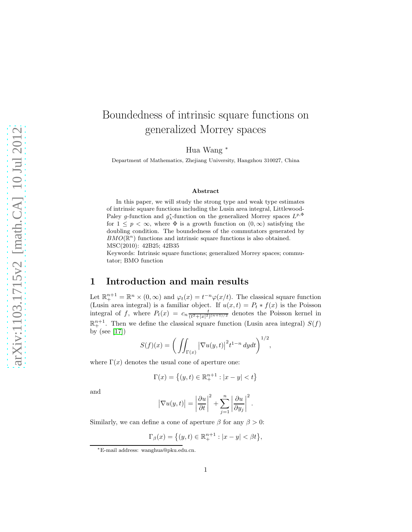# Boundedness of intrinsic square functions on generalized Morrey spaces

Hua Wang <sup>∗</sup>

Department of Mathematics, Zhejiang University, Hangzhou 310027, China

#### Abstract

In this paper, we will study the strong type and weak type estimates of intrinsic square functions including the Lusin area integral, Littlewood-Paley g-function and  $g_{\lambda}^*$ -function on the generalized Morrey spaces  $L^{p,\Phi}$ for  $1 \leq p < \infty$ , where  $\Phi$  is a growth function on  $(0, \infty)$  satisfying the doubling condition. The boundedness of the commutators generated by  $BMO(\mathbb{R}^n)$  functions and intrinsic square functions is also obtained. MSC(2010): 42B25; 42B35

Keywords: Intrinsic square functions; generalized Morrey spaces; commutator; BMO function

# 1 Introduction and main results

Let  $\mathbb{R}^{n+1}_+ = \mathbb{R}^n \times (0,\infty)$  and  $\varphi_t(x) = t^{-n} \varphi(x/t)$ . The classical square function (Lusin area integral) is a familiar object. If  $u(x,t) = P_t * f(x)$  is the Poisson integral of f, where  $P_t(x) = c_n \frac{t}{(t^2 + |x|^2)^{(n+1)/2}}$  denotes the Poisson kernel in  $\mathbb{R}^{n+1}_+$ . Then we define the classical square function (Lusin area integral)  $S(f)$ by (see [\[17\]](#page-22-0))

$$
S(f)(x) = \left(\iint_{\Gamma(x)} |\nabla u(y,t)|^2 t^{1-n} dy dt\right)^{1/2},
$$

where  $\Gamma(x)$  denotes the usual cone of aperture one:

$$
\Gamma(x) = \left\{ (y, t) \in \mathbb{R}_+^{n+1} : |x - y| < t \right\}
$$

and

$$
\left|\nabla u(y,t)\right| = \left|\frac{\partial u}{\partial t}\right|^2 + \sum_{j=1}^n \left|\frac{\partial u}{\partial y_j}\right|^2.
$$

Similarly, we can define a cone of aperture  $\beta$  for any  $\beta > 0$ :

$$
\Gamma_{\beta}(x) = \{(y, t) \in \mathbb{R}^{n+1}_+ : |x - y| < \beta t\},\
$$

<sup>∗</sup>E-mail address: wanghua@pku.edu.cn.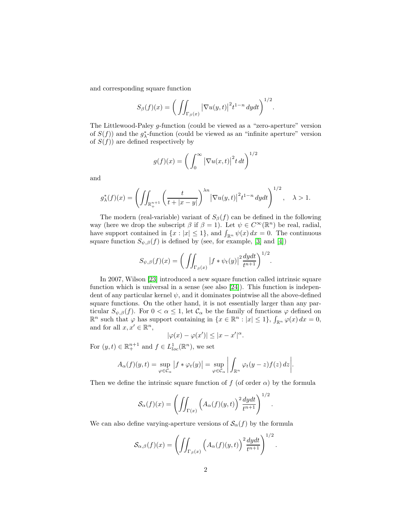and corresponding square function

$$
S_{\beta}(f)(x) = \bigg(\iint_{\Gamma_{\beta}(x)} |\nabla u(y,t)|^2 t^{1-n} dy dt\bigg)^{1/2}.
$$

The Littlewood-Paley g-function (could be viewed as a "zero-aperture" version of  $S(f)$ ) and the  $g_{\lambda}^*$ -function (could be viewed as an "infinite aperture" version of  $S(f)$ ) are defined respectively by

$$
g(f)(x) = \left(\int_0^\infty |\nabla u(x,t)|^2 t \, dt\right)^{1/2}
$$

and

$$
g_{\lambda}^*(f)(x) = \left(\iint_{\mathbb{R}^{n+1}_+} \left(\frac{t}{t+|x-y|}\right)^{\lambda n} \left|\nabla u(y,t)\right|^2 t^{1-n} dydt\right)^{1/2}, \quad \lambda > 1.
$$

The modern (real-variable) variant of  $S_\beta(f)$  can be defined in the following way (here we drop the subscript  $\beta$  if  $\beta = 1$ ). Let  $\psi \in C^{\infty}(\mathbb{R}^n)$  be real, radial, have support contained in  $\{x : |x| \leq 1\}$ , and  $\int_{\mathbb{R}^n} \psi(x) dx = 0$ . The continuous square function  $S_{\psi,\beta}(f)$  is defined by (see, for example, [\[3\]](#page-21-0) and [\[4\]](#page-21-1))

$$
S_{\psi,\beta}(f)(x) = \bigg(\iint_{\Gamma_{\beta}(x)} |f * \psi_t(y)|^2 \frac{dydt}{t^{n+1}}\bigg)^{1/2}.
$$

In 2007, Wilson [\[23\]](#page-22-1) introduced a new square function called intrinsic square function which is universal in a sense (see also [\[24\]](#page-22-2)). This function is independent of any particular kernel  $\psi$ , and it dominates pointwise all the above-defined square functions. On the other hand, it is not essentially larger than any particular  $S_{\psi,\beta}(f)$ . For  $0 < \alpha \leq 1$ , let  $\mathcal{C}_{\alpha}$  be the family of functions  $\varphi$  defined on  $\mathbb{R}^n$  such that  $\varphi$  has support containing in  $\{x \in \mathbb{R}^n : |x| \leq 1\}$ ,  $\int_{\mathbb{R}^n} \varphi(x) dx = 0$ , and for all  $x, x' \in \mathbb{R}^n$ ,

$$
|\varphi(x) - \varphi(x')| \le |x - x'|^{\alpha}.
$$

For  $(y, t) \in \mathbb{R}^{n+1}_+$  and  $f \in L^1_{loc}(\mathbb{R}^n)$ , we set

$$
A_{\alpha}(f)(y,t) = \sup_{\varphi \in C_{\alpha}} |f * \varphi_t(y)| = \sup_{\varphi \in C_{\alpha}} \left| \int_{\mathbb{R}^n} \varphi_t(y-z) f(z) \, dz \right|.
$$

Then we define the intrinsic square function of f (of order  $\alpha$ ) by the formula

$$
\mathcal{S}_{\alpha}(f)(x) = \left( \iint_{\Gamma(x)} \left( A_{\alpha}(f)(y,t) \right)^2 \frac{dydt}{t^{n+1}} \right)^{1/2}.
$$

We can also define varying-aperture versions of  $\mathcal{S}_{\alpha}(f)$  by the formula

$$
\mathcal{S}_{\alpha,\beta}(f)(x) = \left( \iint_{\Gamma_{\beta}(x)} \left( A_{\alpha}(f)(y,t) \right)^2 \frac{dydt}{t^{n+1}} \right)^{1/2}.
$$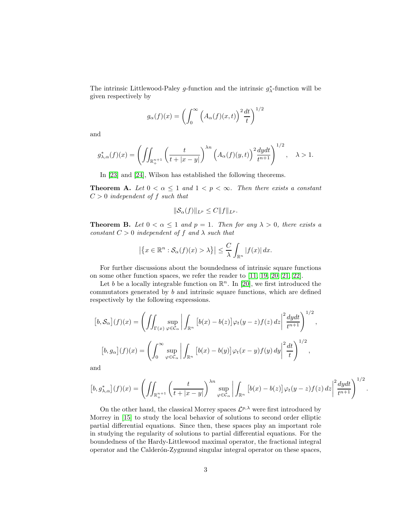The intrinsic Littlewood-Paley g-function and the intrinsic  $g_{\lambda}^*$ -function will be given respectively by

$$
g_{\alpha}(f)(x) = \left(\int_0^{\infty} \left(A_{\alpha}(f)(x,t)\right)^2 \frac{dt}{t}\right)^{1/2}
$$

and

$$
g_{\lambda,\alpha}^*(f)(x) = \left(\iint_{\mathbb{R}^{n+1}_+} \left(\frac{t}{t+|x-y|}\right)^{\lambda n} \left(A_{\alpha}(f)(y,t)\right)^2 \frac{dydt}{t^{n+1}}\right)^{1/2}, \quad \lambda > 1.
$$

In [\[23\]](#page-22-1) and [\[24\]](#page-22-2), Wilson has established the following theorems.

**Theorem A.** Let  $0 < \alpha \leq 1$  and  $1 < p < \infty$ . Then there exists a constant  $C > 0$  independent of f such that

$$
\|\mathcal{S}_{\alpha}(f)\|_{L^p}\leq C\|f\|_{L^p}.
$$

**Theorem B.** Let  $0 < \alpha \leq 1$  and  $p = 1$ . Then for any  $\lambda > 0$ , there exists a constant  $C > 0$  independent of f and  $\lambda$  such that

$$
\left|\left\{x \in \mathbb{R}^n : \mathcal{S}_{\alpha}(f)(x) > \lambda\right\}\right| \leq \frac{C}{\lambda} \int_{\mathbb{R}^n} |f(x)| dx.
$$

For further discussions about the boundedness of intrinsic square functions on some other function spaces, we refer the reader to [\[11,](#page-22-3) [19,](#page-22-4) [20,](#page-22-5) [21,](#page-22-6) [22\]](#page-22-7).

Let b be a locally integrable function on  $\mathbb{R}^n$ . In [\[20\]](#page-22-5), we first introduced the commutators generated by b and intrinsic square functions, which are defined respectively by the following expressions.

$$
[b, \mathcal{S}_{\alpha}](f)(x) = \left( \iint_{\Gamma(x)} \sup_{\varphi \in \mathcal{C}_{\alpha}} \left| \int_{\mathbb{R}^n} \left[ b(x) - b(z) \right] \varphi_t(y - z) f(z) \, dz \right|^2 \frac{dydt}{t^{n+1}} \right)^{1/2},
$$

$$
[b, g_{\alpha}](f)(x) = \left( \int_0^{\infty} \sup_{\varphi \in \mathcal{C}_{\alpha}} \left| \int_{\mathbb{R}^n} \left[ b(x) - b(y) \right] \varphi_t(x - y) f(y) \, dy \right|^2 \frac{dt}{t} \right)^{1/2},
$$

and

$$
[b,g^*_{\lambda,\alpha}](f)(x) = \left(\iint_{\mathbb{R}^{n+1}_+} \left(\frac{t}{t+|x-y|}\right)^{\lambda n} \sup_{\varphi \in \mathcal{C}_{\alpha}} \left|\int_{\mathbb{R}^n} \left[b(x)-b(z)\right] \varphi_t(y-z)f(z) dz \right|^2 \frac{dydt}{t^{n+1}}\right)^{1/2}.
$$

On the other hand, the classical Morrey spaces  $\mathcal{L}^{p,\lambda}$  were first introduced by Morrey in [\[15\]](#page-22-8) to study the local behavior of solutions to second order elliptic partial differential equations. Since then, these spaces play an important role in studying the regularity of solutions to partial differential equations. For the boundedness of the Hardy-Littlewood maximal operator, the fractional integral operator and the Calderón-Zygmund singular integral operator on these spaces,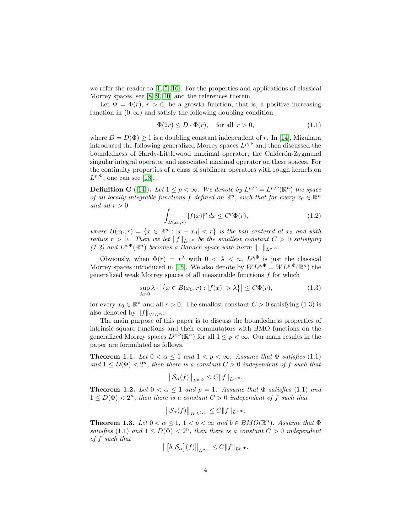we refer the reader to  $\left[1, 5, 16\right]$  $\left[1, 5, 16\right]$  $\left[1, 5, 16\right]$ . For the properties and applications of classical Morrey spaces, see [\[8,](#page-21-4) [9,](#page-22-10) [10\]](#page-22-11) and the references therein.

Let  $\Phi = \Phi(r)$ ,  $r > 0$ , be a growth function, that is, a positive increasing function in  $(0, \infty)$  and satisfy the following doubling condition.

$$
\Phi(2r) \le D \cdot \Phi(r), \quad \text{for all } r > 0,
$$
\n
$$
(1.1)
$$

where  $D = D(\Phi) \ge 1$  is a doubling constant independent of r. In [\[14\]](#page-22-12), Mizuhara introduced the following generalized Morrey spaces  $L^{p, \Phi}$  and then discussed the boundedness of Hardy-Littlewood maximal operator, the Calderón-Zygmund singular integral operator and associated maximal operator on these spaces. For the continuity properties of a class of sublinear operators with rough kernels on  $L^{p, \Phi}$ , one can see [\[13\]](#page-22-13).

**Definition C** ([\[14\]](#page-22-12)). Let  $1 \leq p < \infty$ . We denote by  $L^{p,\Phi} = L^{p,\Phi}(\mathbb{R}^n)$  the space of all locally integrable functions f defined on  $\mathbb{R}^n$ , such that for every  $x_0 \in \mathbb{R}^n$ and all  $r > 0$ 

$$
\int_{B(x_0,r)} |f(x)|^p dx \le C^p \Phi(r),\tag{1.2}
$$

where  $B(x_0,r) = \{x \in \mathbb{R}^n : |x - x_0| < r\}$  is the ball centered at  $x_0$  and with radius  $r > 0$ . Then we let  $||f||_{L^{p,\Phi}}$  be the smallest constant  $C > 0$  satisfying (1.2) and  $L^{p,\Phi}(\mathbb{R}^n)$  becomes a Banach space with norm  $\|\cdot\|_{L^{p,\Phi}}$ .

Obviously, when  $\Phi(r) = r^{\lambda}$  with  $0 < \lambda < n$ ,  $L^{p,\Phi}$  is just the classical Morrey spaces introduced in [\[15\]](#page-22-8). We also denote by  $WL^{p,\Phi} = WL^{p,\Phi}(\mathbb{R}^n)$  the generalized weak Morrey spaces of all measurable functions f for which

$$
\sup_{\lambda>0} \lambda \cdot \left| \left\{ x \in B(x_0, r) : |f(x)| > \lambda \right\} \right| \le C\Phi(r),\tag{1.3}
$$

for every  $x_0 \in \mathbb{R}^n$  and all  $r > 0$ . The smallest constant  $C > 0$  satisfying (1.3) is also denoted by  $||f||_{WL^{p, \Phi}}$ .

The main purpose of this paper is to discuss the boundedness properties of intrinsic square functions and their commutators with BMO functions on the generalized Morrey spaces  $L^{p,\Phi}(\mathbb{R}^n)$  for all  $1 \leq p < \infty$ . Our main results in the paper are formulated as follows.

**Theorem 1.1.** Let  $0 < \alpha \leq 1$  and  $1 < p < \infty$ . Assume that  $\Phi$  satisfies (1.1) and  $1 \leq D(\Phi) < 2^n$ , then there is a constant  $C > 0$  independent of f such that

$$
\left\|\mathcal{S}_{\alpha}(f)\right\|_{L^{p,\Phi}} \leq C\|f\|_{L^{p,\Phi}}.
$$

**Theorem 1.2.** Let  $0 < \alpha \leq 1$  and  $p = 1$ . Assume that  $\Phi$  satisfies (1.1) and  $1 \leq D(\Phi) < 2^n$ , then there is a constant  $C > 0$  independent of f such that

$$
\left\|\mathcal{S}_{\alpha}(f)\right\|_{WL^{1,\Phi}} \leq C\|f\|_{L^{1,\Phi}}.
$$

**Theorem 1.3.** Let  $0 < \alpha \leq 1, 1 < p < \infty$  and  $b \in BMO(\mathbb{R}^n)$ . Assume that  $\Phi$ satisfies (1.1) and  $1 \leq D(\Phi) < 2^n$ , then there is a constant  $C > 0$  independent of f such that

$$
\left\| \left[ b, \mathcal{S}_{\alpha} \right](f) \right\|_{L^{p, \Phi}} \leq C \|f\|_{L^{p, \Phi}}.
$$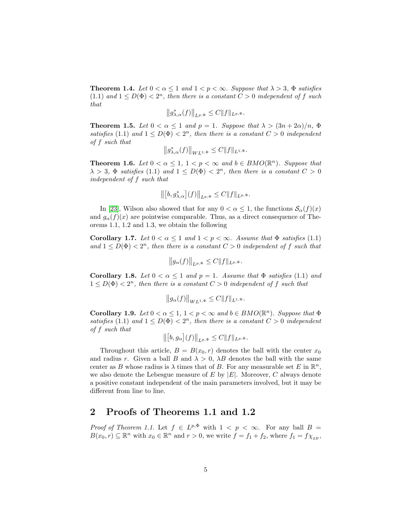**Theorem 1.4.** Let  $0 < \alpha \leq 1$  and  $1 < p < \infty$ . Suppose that  $\lambda > 3$ ,  $\Phi$  satisfies (1.1) and  $1 \leq D(\Phi) < 2^n$ , then there is a constant  $C > 0$  independent of f such that

$$
\left\|g_{\lambda,\alpha}^*(f)\right\|_{L^{p,\Phi}} \leq C \|f\|_{L^{p,\Phi}}.
$$

**Theorem 1.5.** Let  $0 < \alpha \leq 1$  and  $p = 1$ . Suppose that  $\lambda > (3n + 2\alpha)/n$ ,  $\Phi$ satisfies (1.1) and  $1 \leq D(\Phi) < 2^n$ , then there is a constant  $C > 0$  independent of f such that

$$
\left\|g_{\lambda,\alpha}^*(f)\right\|_{WL^{1,\Phi}} \leq C \|f\|_{L^{1,\Phi}}.
$$

**Theorem 1.6.** Let  $0 < \alpha \leq 1, 1 < p < \infty$  and  $b \in BMO(\mathbb{R}^n)$ . Suppose that  $\lambda > 3$ ,  $\Phi$  satisfies (1.1) and  $1 \leq D(\Phi) < 2<sup>n</sup>$ , then there is a constant  $C > 0$ independent of f such that

$$
\left\| \left[ b, g_{\lambda,\alpha}^* \right] (f) \right\|_{L^{p,\Phi}} \leq C \| f \|_{L^{p,\Phi}}.
$$

In [\[23\]](#page-22-1), Wilson also showed that for any  $0 < \alpha \leq 1$ , the functions  $\mathcal{S}_{\alpha}(f)(x)$ and  $g_{\alpha}(f)(x)$  are pointwise comparable. Thus, as a direct consequence of Theorems 1.1, 1.2 and 1.3, we obtain the following

Corollary 1.7. Let  $0 < \alpha \leq 1$  and  $1 < p < \infty$ . Assume that  $\Phi$  satisfies (1.1) and  $1 \leq D(\Phi) < 2^n$ , then there is a constant  $C > 0$  independent of f such that

$$
\left\|g_{\alpha}(f)\right\|_{L^{p,\Phi}} \leq C \|f\|_{L^{p,\Phi}}.
$$

Corollary 1.8. Let  $0 < \alpha \leq 1$  and  $p = 1$ . Assume that  $\Phi$  satisfies (1.1) and  $1 \leq D(\Phi) < 2^n$ , then there is a constant  $C > 0$  independent of f such that

$$
\left\|g_{\alpha}(f)\right\|_{WL^{1,\Phi}} \leq C\|f\|_{L^{1,\Phi}}.
$$

Corollary 1.9. Let  $0 < \alpha \leq 1, 1 < p < \infty$  and  $b \in BMO(\mathbb{R}^n)$ . Suppose that  $\Phi$ satisfies (1.1) and  $1 \leq D(\Phi) < 2^n$ , then there is a constant  $C > 0$  independent of f such that

$$
\left\| \left[ b, g_{\alpha} \right] (f) \right\|_{L^{p, \Phi}} \leq C \| f \|_{L^{p, \Phi}}.
$$

Throughout this article,  $B = B(x_0, r)$  denotes the ball with the center  $x_0$ and radius r. Given a ball B and  $\lambda > 0$ ,  $\lambda B$  denotes the ball with the same center as B whose radius is  $\lambda$  times that of B. For any measurable set E in  $\mathbb{R}^n$ , we also denote the Lebesgue measure of E by  $|E|$ . Moreover, C always denote a positive constant independent of the main parameters involved, but it may be different from line to line.

#### 2 Proofs of Theorems 1.1 and 1.2

*Proof of Theorem 1.1.* Let  $f \in L^{p,\Phi}$  with  $1 < p < \infty$ . For any ball  $B =$  $B(x_0, r) \subseteq \mathbb{R}^n$  with  $x_0 \in \mathbb{R}^n$  and  $r > 0$ , we write  $f = f_1 + f_2$ , where  $f_1 = f \chi_{2B}$ ,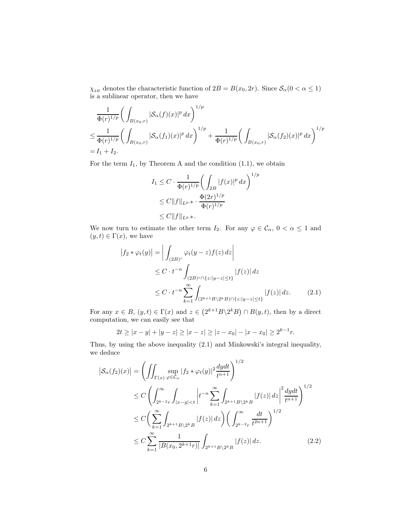$\chi_{_{2B}}$  denotes the characteristic function of  $2B = B(x_0,2r).$  Since  $\mathcal{S}_{\alpha} (0 < \alpha \leq 1)$ is a sublinear operator, then we have

$$
\frac{1}{\Phi(r)^{1/p}} \bigg( \int_{B(x_0,r)} |\mathcal{S}_{\alpha}(f)(x)|^p dx \bigg)^{1/p}
$$
\n
$$
\leq \frac{1}{\Phi(r)^{1/p}} \bigg( \int_{B(x_0,r)} |\mathcal{S}_{\alpha}(f_1)(x)|^p dx \bigg)^{1/p} + \frac{1}{\Phi(r)^{1/p}} \bigg( \int_{B(x_0,r)} |\mathcal{S}_{\alpha}(f_2)(x)|^p dx \bigg)^{1/p}
$$
\n= I<sub>1</sub> + I<sub>2</sub>.

For the term  $I_1$ , by Theorem A and the condition  $(1.1)$ , we obtain

$$
I_1 \leq C \cdot \frac{1}{\Phi(r)^{1/p}} \bigg( \int_{2B} |f(x)|^p dx \bigg)^{1/p}
$$
  
\n
$$
\leq C \|f\|_{L^{p,\Phi}} \cdot \frac{\Phi(2r)^{1/p}}{\Phi(r)^{1/p}}
$$
  
\n
$$
\leq C \|f\|_{L^{p,\Phi}}.
$$

We now turn to estimate the other term  $I_2$ . For any  $\varphi \in \mathcal{C}_{\alpha}$ ,  $0 < \alpha \le 1$  and  $(y, t) \in \Gamma(x)$ , we have

$$
|f_2 * \varphi_t(y)| = \left| \int_{(2B)^c} \varphi_t(y-z) f(z) \, dz \right|
$$
  
\n
$$
\leq C \cdot t^{-n} \int_{(2B)^c \cap \{z: |y-z| \leq t\}} |f(z)| \, dz
$$
  
\n
$$
\leq C \cdot t^{-n} \sum_{k=1}^{\infty} \int_{(2^{k+1}B \setminus 2^k B) \cap \{z: |y-z| \leq t\}} |f(z)| \, dz. \tag{2.1}
$$

For any  $x \in B$ ,  $(y, t) \in \Gamma(x)$  and  $z \in (2^{k+1}B\setminus 2^kB) \cap B(y, t)$ , then by a direct computation, we can easily see that

$$
2t \ge |x - y| + |y - z| \ge |x - z| \ge |z - x_0| - |x - x_0| \ge 2^{k-1}r.
$$

Thus, by using the above inequality (2.1) and Minkowski's integral inequality, we deduce

$$
\left| \mathcal{S}_{\alpha}(f_2)(x) \right| = \left( \iint_{\Gamma(x)} \sup_{\varphi \in \mathcal{C}_{\alpha}} |f_2 * \varphi_t(y)|^2 \frac{dydt}{t^{n+1}} \right)^{1/2} \leq C \left( \int_{2^{k-2}r}^{\infty} \int_{|x-y| < t} \left| t^{-n} \sum_{k=1}^{\infty} \int_{2^{k+1}B \setminus 2^k B} |f(z)| \, dz \right|^2 \frac{dydt}{t^{n+1}} \right)^{1/2} \leq C \left( \sum_{k=1}^{\infty} \int_{2^{k+1}B \setminus 2^k B} |f(z)| \, dz \right) \left( \int_{2^{k-2}r}^{\infty} \frac{dt}{t^{2n+1}} \right)^{1/2} \leq C \sum_{k=1}^{\infty} \frac{1}{|B(x_0, 2^{k+1}r)|} \int_{2^{k+1}B \setminus 2^k B} |f(z)| \, dz. \tag{2.2}
$$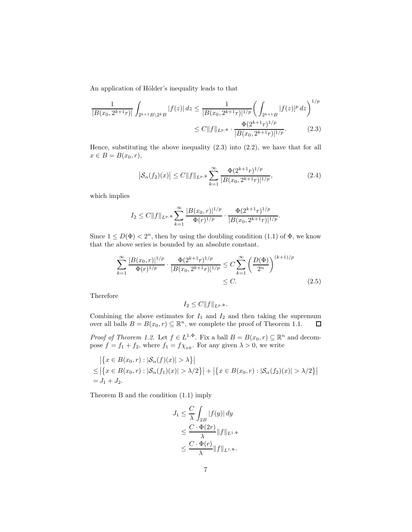An application of Hölder's inequality leads to that

$$
\frac{1}{|B(x_0, 2^{k+1}r)|} \int_{2^{k+1}B\backslash 2^k} |f(z)| dz \le \frac{1}{|B(x_0, 2^{k+1}r)|^{1/p}} \left(\int_{2^{k+1}B} |f(z)|^p dz\right)^{1/p}
$$
  

$$
\le C \|f\|_{L^{p,\Phi}} \cdot \frac{\Phi(2^{k+1}r)^{1/p}}{|B(x_0, 2^{k+1}r)|^{1/p}}.
$$
 (2.3)

Hence, substituting the above inequality (2.3) into (2.2), we have that for all  $x \in B = B(x_0, r),$ 

$$
\left| \mathcal{S}_{\alpha}(f_2)(x) \right| \le C \|f\|_{L^{p,\Phi}} \sum_{k=1}^{\infty} \frac{\Phi(2^{k+1}r)^{1/p}}{|B(x_0, 2^{k+1}r)|^{1/p}}, \tag{2.4}
$$

which implies

$$
I_2 \leq C \|f\|_{L^{p,\Phi}} \sum_{k=1}^{\infty} \frac{|B(x_0,r)|^{1/p}}{\Phi(r)^{1/p}} \cdot \frac{\Phi(2^{k+1}r)^{1/p}}{|B(x_0,2^{k+1}r)|^{1/p}}.
$$

Since  $1 \leq D(\Phi) < 2^n$ , then by using the doubling condition (1.1) of  $\Phi$ , we know that the above series is bounded by an absolute constant.

$$
\sum_{k=1}^{\infty} \frac{|B(x_0, r)|^{1/p}}{\Phi(r)^{1/p}} \cdot \frac{\Phi(2^{k+1}r)^{1/p}}{|B(x_0, 2^{k+1}r)|^{1/p}} \le C \sum_{k=1}^{\infty} \left(\frac{D(\Phi)}{2^n}\right)^{(k+1)/p} \le C.
$$
\n(2.5)

Therefore

$$
I_2 \leq C ||f||_{L^{p,\Phi}}.
$$

Combining the above estimates for  $I_1$  and  $I_2$  and then taking the supremum over all balls  $B = B(x_0, r) \subseteq \mathbb{R}^n$ , we complete the proof of Theorem 1.1.  $\Box$ 

*Proof of Theorem 1.2.* Let  $f \in L^{1,\Phi}$ . Fix a ball  $B = B(x_0, r) \subseteq \mathbb{R}^n$  and decompose  $f = f_1 + f_2$ , where  $f_1 = f \chi_{2B}$ . For any given  $\lambda > 0$ , we write

$$
\left| \{ x \in B(x_0, r) : |\mathcal{S}_{\alpha}(f)(x)| > \lambda \} \right|
$$
  
\n
$$
\leq \left| \{ x \in B(x_0, r) : |\mathcal{S}_{\alpha}(f_1)(x)| > \lambda/2 \} \right| + \left| \{ x \in B(x_0, r) : |\mathcal{S}_{\alpha}(f_2)(x)| > \lambda/2 \} \right|
$$
  
\n
$$
= J_1 + J_2.
$$

Theorem B and the condition (1.1) imply

$$
J_1 \leq \frac{C}{\lambda} \int_{2B} |f(y)| dy
$$
  
\n
$$
\leq \frac{C \cdot \Phi(2r)}{\lambda} ||f||_{L^{1,\Phi}}
$$
  
\n
$$
\leq \frac{C \cdot \Phi(r)}{\lambda} ||f||_{L^{1,\Phi}}.
$$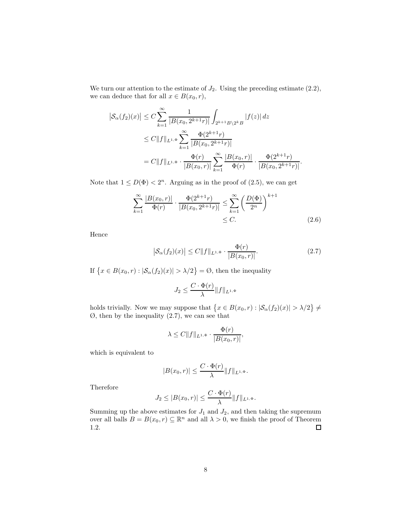We turn our attention to the estimate of  $J_2$ . Using the preceding estimate  $(2.2)$ , we can deduce that for all  $x \in B(x_0, r)$ ,

$$
\begin{split} \left| \mathcal{S}_{\alpha}(f_{2})(x) \right| &\leq C \sum_{k=1}^{\infty} \frac{1}{\left| B(x_{0}, 2^{k+1}r) \right|} \int_{2^{k+1}B\backslash 2^{k}B} \left| f(z) \right| dz \\ &\leq C \| f \|_{L^{1,\Phi}} \sum_{k=1}^{\infty} \frac{\Phi(2^{k+1}r)}{\left| B(x_{0}, 2^{k+1}r) \right|} \\ &= C \| f \|_{L^{1,\Phi}} \cdot \frac{\Phi(r)}{\left| B(x_{0},r) \right|} \sum_{k=1}^{\infty} \frac{\left| B(x_{0},r) \right|}{\Phi(r)} \cdot \frac{\Phi(2^{k+1}r)}{\left| B(x_{0}, 2^{k+1}r) \right|}. \end{split}
$$

Note that  $1 \leq D(\Phi) < 2^n$ . Arguing as in the proof of (2.5), we can get

$$
\sum_{k=1}^{\infty} \frac{|B(x_0, r)|}{\Phi(r)} \cdot \frac{\Phi(2^{k+1}r)}{|B(x_0, 2^{k+1}r)|} \le \sum_{k=1}^{\infty} \left(\frac{D(\Phi)}{2^n}\right)^{k+1} \le C.
$$
\n(2.6)

Hence

$$
\left| \mathcal{S}_{\alpha}(f_2)(x) \right| \le C \| f \|_{L^{1,\Phi}} \cdot \frac{\Phi(r)}{|B(x_0, r)|}.
$$
 (2.7)

If  $\{x \in B(x_0,r) : |\mathcal{S}_{\alpha}(f_2)(x)| > \lambda/2\} = \emptyset$ , then the inequality

$$
J_2 \leq \frac{C\cdot \Phi(r)}{\lambda} \|f\|_{L^{1,\Phi}}
$$

holds trivially. Now we may suppose that  $\{x \in B(x_0,r) : |\mathcal{S}_\alpha(f_2)(x)| > \lambda/2\} \neq$  $\emptyset$ , then by the inequality  $(2.7)$ , we can see that

$$
\lambda \le C \|f\|_{L^{1,\Phi}} \cdot \frac{\Phi(r)}{|B(x_0,r)|},
$$

which is equivalent to

$$
|B(x_0,r)| \leq \frac{C \cdot \Phi(r)}{\lambda} ||f||_{L^{1,\Phi}}.
$$

Therefore

$$
J_2 \le |B(x_0,r)| \le \frac{C \cdot \Phi(r)}{\lambda} ||f||_{L^{1,\Phi}}.
$$

Summing up the above estimates for  $J_1$  and  $J_2$ , and then taking the supremum over all balls  $B = B(x_0, r) \subseteq \mathbb{R}^n$  and all  $\lambda > 0$ , we finish the proof of Theorem 1.2.  $\Box$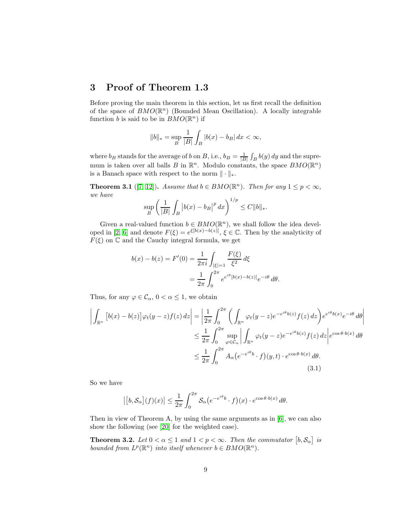#### 3 Proof of Theorem 1.3

Before proving the main theorem in this section, let us first recall the definition of the space of  $BMO(\mathbb{R}^n)$  (Bounded Mean Oscillation). A locally integrable function b is said to be in  $BMO(\mathbb{R}^n)$  if

$$
||b||_* = \sup_B \frac{1}{|B|} \int_B |b(x) - b_B| \, dx < \infty,
$$

where  $b_B$  stands for the average of b on B, i.e.,  $b_B = \frac{1}{|B|} \int_B b(y) dy$  and the supremum is taken over all balls B in  $\mathbb{R}^n$ . Modulo constants, the space  $BMO(\mathbb{R}^n)$ is a Banach space with respect to the norm  $\|\cdot\|_*$ .

**Theorem 3.1** ([\[7,](#page-21-5) [12\]](#page-22-14)). Assume that  $b \in BMO(\mathbb{R}^n)$ . Then for any  $1 \leq p < \infty$ , we have

$$
\sup_{B} \left( \frac{1}{|B|} \int_{B} |b(x) - b_{B}|^{p} dx \right)^{1/p} \leq C \|b\|_{*}.
$$

Given a real-valued function  $b \in BMO(\mathbb{R}^n)$ , we shall follow the idea devel-oped in [\[2,](#page-21-6) [6\]](#page-21-7) and denote  $F(\xi) = e^{\xi[b(x)-b(z)]}$ ,  $\xi \in \mathbb{C}$ . Then by the analyticity of  $F(\xi)$  on  $\mathbb C$  and the Cauchy integral formula, we get

$$
b(x) - b(z) = F'(0) = \frac{1}{2\pi i} \int_{|\xi|=1} \frac{F(\xi)}{\xi^2} d\xi
$$
  
= 
$$
\frac{1}{2\pi} \int_0^{2\pi} e^{e^{i\theta} [b(x) - b(z)]} e^{-i\theta} d\theta.
$$

Thus, for any  $\varphi \in \mathcal{C}_{\alpha}, 0 < \alpha \leq 1$ , we obtain

$$
\left| \int_{\mathbb{R}^n} \left[ b(x) - b(z) \right] \varphi_t(y - z) f(z) \, dz \right| = \left| \frac{1}{2\pi} \int_0^{2\pi} \left( \int_{\mathbb{R}^n} \varphi_t(y - z) e^{-e^{i\theta} b(z)} f(z) \, dz \right) e^{e^{i\theta} b(x)} e^{-i\theta} \, d\theta \right|
$$
  

$$
\leq \frac{1}{2\pi} \int_0^{2\pi} \sup_{\varphi \in \mathcal{C}_\alpha} \left| \int_{\mathbb{R}^n} \varphi_t(y - z) e^{-e^{i\theta} b(z)} f(z) \, dz \right| e^{\cos \theta \cdot b(x)} \, d\theta
$$
  

$$
\leq \frac{1}{2\pi} \int_0^{2\pi} A_\alpha (e^{-e^{i\theta} b} \cdot f)(y, t) \cdot e^{\cos \theta \cdot b(x)} \, d\theta.
$$
  
(3.1)

So we have

$$
\left| \left[ b, \mathcal{S}_{\alpha} \right](f)(x) \right| \leq \frac{1}{2\pi} \int_0^{2\pi} \mathcal{S}_{\alpha} \big( e^{-e^{i\theta} b} \cdot f \big)(x) \cdot e^{\cos \theta \cdot b(x)} \, d\theta.
$$

Then in view of Theorem A, by using the same arguments as in [\[6\]](#page-21-7), we can also show the following (see [\[20\]](#page-22-5) for the weighted case).

**Theorem 3.2.** Let  $0 < \alpha \leq 1$  and  $1 < p < \infty$ . Then the commutator  $[b, \mathcal{S}_{\alpha}]$  is bounded from  $L^p(\mathbb{R}^n)$  into itself whenever  $b \in BMO(\mathbb{R}^n)$ .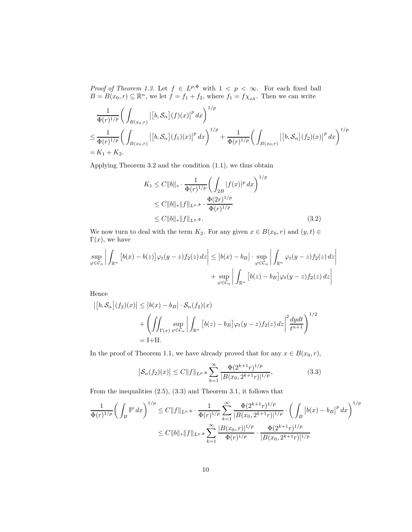*Proof of Theorem 1.3.* Let  $f \in L^{p,\Phi}$  with  $1 \leq p \leq \infty$ . For each fixed ball  $B = B(x_0, r) \subseteq \mathbb{R}^n$ , we let  $f = f_1 + f_2$ , where  $f_1 = f \chi_{2B}$ . Then we can write

$$
\frac{1}{\Phi(r)^{1/p}} \bigg( \int_{B(x_0,r)} \left| \left[ b, \mathcal{S}_{\alpha} \right] (f)(x) \right|^p dx \bigg)^{1/p}
$$
\n
$$
\leq \frac{1}{\Phi(r)^{1/p}} \bigg( \int_{B(x_0,r)} \left| \left[ b, \mathcal{S}_{\alpha} \right] (f_1)(x) \right|^p dx \bigg)^{1/p} + \frac{1}{\Phi(r)^{1/p}} \bigg( \int_{B(x_0,r)} \left| \left[ b, \mathcal{S}_{\alpha} \right] (f_2)(x) \right|^p dx \bigg)^{1/p}
$$
\n
$$
= K_1 + K_2.
$$

Applying Theorem 3.2 and the condition (1.1), we thus obtain

$$
K_1 \le C \|b\|_* \cdot \frac{1}{\Phi(r)^{1/p}} \left( \int_{2B} |f(x)|^p dx \right)^{1/p}
$$
  
\n
$$
\le C \|b\|_* \|f\|_{L^{p,\Phi}} \cdot \frac{\Phi(2r)^{1/p}}{\Phi(r)^{1/p}}
$$
  
\n
$$
\le C \|b\|_* \|f\|_{L^{p,\Phi}}. \tag{3.2}
$$

We now turn to deal with the term  $K_2$ . For any given  $x \in B(x_0, r)$  and  $(y, t) \in$  $\Gamma(x)$ , we have

$$
\sup_{\varphi \in \mathcal{C}_{\alpha}} \left| \int_{\mathbb{R}^n} \left[ b(x) - b(z) \right] \varphi_t(y - z) f_2(z) \, dz \right| \le \left| b(x) - b_B \right| \cdot \sup_{\varphi \in \mathcal{C}_{\alpha}} \left| \int_{\mathbb{R}^n} \varphi_t(y - z) f_2(z) \, dz \right|
$$

$$
+ \sup_{\varphi \in \mathcal{C}_{\alpha}} \left| \int_{\mathbb{R}^n} \left[ b(z) - b_B \right] \varphi_t(y - z) f_2(z) \, dz \right|
$$

Hence

$$
\left| \left[ b, \mathcal{S}_{\alpha} \right](f_2)(x) \right| \leq \left| b(x) - b_B \right| \cdot \mathcal{S}_{\alpha}(f_2)(x)
$$
  
+ 
$$
\left( \iint_{\Gamma(x)} \sup_{\varphi \in \mathcal{C}_{\alpha}} \left| \int_{\mathbb{R}^n} \left[ b(z) - b_B \right] \varphi_t(y - z) f_2(z) \, dz \right|^2 \frac{dydt}{t^{n+1}} \right)^{1/2}
$$
  
= I+II.

In the proof of Theorem 1.1, we have already proved that for any  $x \in B(x_0, r)$ ,

$$
\left| \mathcal{S}_{\alpha}(f_2)(x) \right| \le C \|f\|_{L^{p,\Phi}} \sum_{k=1}^{\infty} \frac{\Phi(2^{k+1}r)^{1/p}}{|B(x_0, 2^{k+1}r)|^{1/p}}, \tag{3.3}
$$

From the inequalities (2.5), (3.3) and Theorem 3.1, it follows that

$$
\frac{1}{\Phi(r)^{1/p}} \bigg( \int_B \mathbf{I}^p \, dx \bigg)^{1/p} \le C \|f\|_{L^{p,\Phi}} \cdot \frac{1}{\Phi(r)^{1/p}} \sum_{k=1}^{\infty} \frac{\Phi(2^{k+1}r)^{1/p}}{|B(x_0, 2^{k+1}r)|^{1/p}} \cdot \bigg( \int_B \left|b(x) - b_B\right|^p \, dx \bigg)^{1/p}
$$

$$
\le C \|b\|_{*} \|f\|_{L^{p,\Phi}} \sum_{k=1}^{\infty} \frac{|B(x_0, r)|^{1/p}}{\Phi(r)^{1/p}} \cdot \frac{\Phi(2^{k+1}r)^{1/p}}{|B(x_0, 2^{k+1}r)|^{1/p}}
$$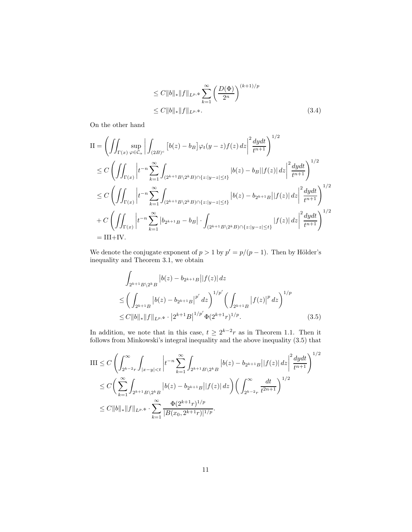$$
\leq C \|b\|_{*} \|f\|_{L^{p,\Phi}} \sum_{k=1}^{\infty} \left(\frac{D(\Phi)}{2^n}\right)^{(k+1)/p} \leq C \|b\|_{*} \|f\|_{L^{p,\Phi}}.
$$
\n(3.4)

On the other hand

$$
II = \left( \iint_{\Gamma(x)} \sup_{\varphi \in \mathcal{C}_{\alpha}} \left| \int_{(2B)^c} [b(z) - b_B] \varphi_t(y - z) f(z) \, dz \right|^2 \frac{dydt}{t^{n+1}} \right)^{1/2}
$$
  
\n
$$
\leq C \left( \iint_{\Gamma(x)} \left| t^{-n} \sum_{k=1}^{\infty} \int_{(2^{k+1}B \setminus 2^k B) \cap \{z : |y - z| \le t\}} |b(z) - b_B| |f(z)| \, dz \right|^2 \frac{dydt}{t^{n+1}} \right)^{1/2}
$$
  
\n
$$
\leq C \left( \iint_{\Gamma(x)} \left| t^{-n} \sum_{k=1}^{\infty} \int_{(2^{k+1}B \setminus 2^k B) \cap \{z : |y - z| \le t\}} |b(z) - b_{2^{k+1}B}| |f(z)| \, dz \right|^2 \frac{dydt}{t^{n+1}} \right)^{1/2}
$$
  
\n
$$
+ C \left( \iint_{\Gamma(x)} \left| t^{-n} \sum_{k=1}^{\infty} |b_{2^{k+1}B} - b_B| \cdot \int_{(2^{k+1}B \setminus 2^k B) \cap \{z : |y - z| \le t\}} |f(z)| \, dz \right|^2 \frac{dydt}{t^{n+1}} \right)^{1/2}
$$
  
\n= III+IV.

We denote the conjugate exponent of  $p > 1$  by  $p' = p/(p - 1)$ . Then by Hölder's inequality and Theorem 3.1, we obtain

$$
\int_{2^{k+1}B\backslash 2^{k}B} |b(z) - b_{2^{k+1}B}||f(z)| dz
$$
\n
$$
\leq \left(\int_{2^{k+1}B} |b(z) - b_{2^{k+1}B}|^{p'} dz\right)^{1/p'} \left(\int_{2^{k+1}B} |f(z)|^{p} dz\right)^{1/p}
$$
\n
$$
\leq C \|b\|_{*} \|f\|_{L^{p,\Phi}} \cdot |2^{k+1}B|^{1/p'} \Phi(2^{k+1}r)^{1/p}.
$$
\n(3.5)

In addition, we note that in this case,  $t \geq 2^{k-2}r$  as in Theorem 1.1. Then it follows from Minkowski's integral inequality and the above inequality (3.5) that

$$
\begin{split} \text{III} &\leq C \left( \int_{2^{k-2}r}^{\infty} \int_{|x-y| < t} \left| t^{-n} \sum_{k=1}^{\infty} \int_{2^{k+1}B \setminus 2^k B} \left| b(z) - b_{2^{k+1}B} \right| |f(z)| \, dz \right|^2 \frac{dydt}{t^{n+1}} \right)^{1/2} \\ &\leq C \left( \sum_{k=1}^{\infty} \int_{2^{k+1}B \setminus 2^k B} \left| b(z) - b_{2^{k+1}B} \right| |f(z)| \, dz \right) \left( \int_{2^{k-2}r}^{\infty} \frac{dt}{t^{2n+1}} \right)^{1/2} \\ &\leq C \|b\|_{*} \|f\|_{L^{p,\Phi}} \cdot \sum_{k=1}^{\infty} \frac{\Phi(2^{k+1}r)^{1/p}}{|B(x_0, 2^{k+1}r)|^{1/p}}. \end{split}
$$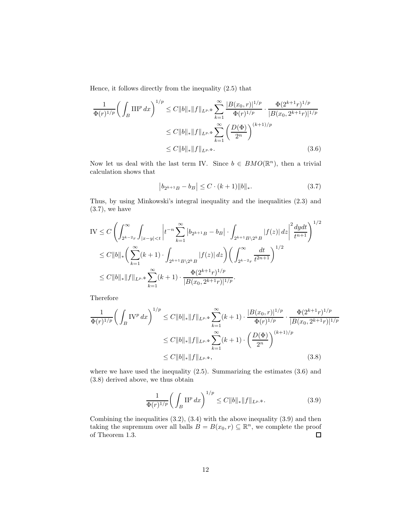Hence, it follows directly from the inequality (2.5) that

$$
\frac{1}{\Phi(r)^{1/p}} \left( \int_B \Pi \Pi^p \, dx \right)^{1/p} \le C \|b\|_* \|f\|_{L^{p,\Phi}} \sum_{k=1}^{\infty} \frac{|B(x_0, r)|^{1/p}}{\Phi(r)^{1/p}} \cdot \frac{\Phi(2^{k+1}r)^{1/p}}{|B(x_0, 2^{k+1}r)|^{1/p}} \n\le C \|b\|_* \|f\|_{L^{p,\Phi}} \sum_{k=1}^{\infty} \left( \frac{D(\Phi)}{2^n} \right)^{(k+1)/p} \n\le C \|b\|_* \|f\|_{L^{p,\Phi}}.
$$
\n(3.6)

Now let us deal with the last term IV. Since  $b \in BMO(\mathbb{R}^n)$ , then a trivial calculation shows that

$$
\left| b_{2^{k+1}B} - b_B \right| \le C \cdot (k+1) \|b\|_*.
$$
 (3.7)

Thus, by using Minkowski's integral inequality and the inequalities (2.3) and  $(3.7)$ , we have

$$
IV \leq C \left( \int_{2^{k-2}r}^{\infty} \int_{|x-y| < t} \left| t^{-n} \sum_{k=1}^{\infty} \left| b_{2^{k+1}B} - b_{B} \right| \cdot \int_{2^{k+1}B \setminus 2^{k}B} |f(z)| \, dz \right|^{2} \frac{dydt}{t^{n+1}} \right)^{1/2}
$$
  
\n
$$
\leq C \|b\|_{*} \left( \sum_{k=1}^{\infty} (k+1) \cdot \int_{2^{k+1}B \setminus 2^{k}B} |f(z)| \, dz \right) \left( \int_{2^{k-2}r}^{\infty} \frac{dt}{t^{2n+1}} \right)^{1/2}
$$
  
\n
$$
\leq C \|b\|_{*} \|f\|_{L^{p,\Phi}} \sum_{k=1}^{\infty} (k+1) \cdot \frac{\Phi(2^{k+1}r)^{1/p}}{|B(x_0, 2^{k+1}r)|^{1/p}}.
$$

Therefore

$$
\frac{1}{\Phi(r)^{1/p}} \left( \int_B \mathcal{IV}^p \, dx \right)^{1/p} \le C \|b\|_* \|f\|_{L^{p,\Phi}} \sum_{k=1}^{\infty} (k+1) \cdot \frac{|B(x_0, r)|^{1/p}}{\Phi(r)^{1/p}} \cdot \frac{\Phi(2^{k+1}r)^{1/p}}{|B(x_0, 2^{k+1}r)|^{1/p}} \n\le C \|b\|_* \|f\|_{L^{p,\Phi}} \sum_{k=1}^{\infty} (k+1) \cdot \left( \frac{D(\Phi)}{2^n} \right)^{(k+1)/p} \n\le C \|b\|_* \|f\|_{L^{p,\Phi}},
$$
\n(3.8)

where we have used the inequality (2.5). Summarizing the estimates (3.6) and (3.8) derived above, we thus obtain

$$
\frac{1}{\Phi(r)^{1/p}} \bigg( \int_B \Pi^p \, dx \bigg)^{1/p} \le C \|b\|_* \|f\|_{L^{p,\Phi}}. \tag{3.9}
$$

Combining the inequalities (3.2), (3.4) with the above inequality (3.9) and then taking the supremum over all balls  $B = B(x_0, r) \subseteq \mathbb{R}^n$ , we complete the proof of Theorem 1.3.  $\Box$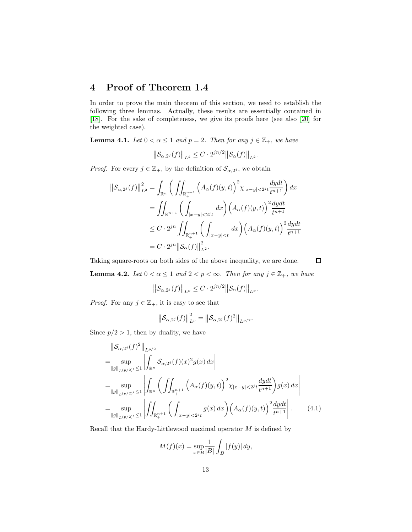## 4 Proof of Theorem 1.4

In order to prove the main theorem of this section, we need to establish the following three lemmas. Actually, these results are essentially contained in [\[18\]](#page-22-15). For the sake of completeness, we give its proofs here (see also [\[20\]](#page-22-5) for the weighted case).

**Lemma 4.1.** Let  $0 < \alpha \leq 1$  and  $p = 2$ . Then for any  $j \in \mathbb{Z}_+$ , we have

$$
\|\mathcal{S}_{\alpha,2^{j}}(f)\|_{L^{2}} \leq C \cdot 2^{jn/2} \|\mathcal{S}_{\alpha}(f)\|_{L^{2}}.
$$

*Proof.* For every  $j \in \mathbb{Z}_+$ , by the definition of  $\mathcal{S}_{\alpha,2^j}$ , we obtain

$$
\|\mathcal{S}_{\alpha,2^{j}}(f)\|_{L^{2}}^{2} = \int_{\mathbb{R}^{n}} \left(\iint_{\mathbb{R}_{+}^{n+1}} \left(A_{\alpha}(f)(y,t)\right)^{2} \chi_{|x-y|<2^{j}t} \frac{dydt}{t^{n+1}}\right) dx
$$
  
\n
$$
= \iint_{\mathbb{R}_{+}^{n+1}} \left(\int_{|x-y|<2^{j}t} dx\right) \left(A_{\alpha}(f)(y,t)\right)^{2} \frac{dydt}{t^{n+1}}
$$
  
\n
$$
\leq C \cdot 2^{jn} \iint_{\mathbb{R}_{+}^{n+1}} \left(\int_{|x-y|  
\n
$$
= C \cdot 2^{jn} \|\mathcal{S}_{\alpha}(f)\|_{L^{2}}^{2}.
$$
$$

Taking square-roots on both sides of the above inequality, we are done.

 $\Box$ 

**Lemma 4.2.** Let  $0 < \alpha \leq 1$  and  $2 < p < \infty$ . Then for any  $j \in \mathbb{Z}_+$ , we have

$$
\left\|\mathcal{S}_{\alpha,2^{j}}(f)\right\|_{L^{p}} \leq C \cdot 2^{jn/2} \left\|\mathcal{S}_{\alpha}(f)\right\|_{L^{p}}.
$$

*Proof.* For any  $j \in \mathbb{Z}_+$ , it is easy to see that

$$
\left\| \mathcal{S}_{\alpha,2^{j}}(f) \right\|_{L^{p}}^{2} = \left\| \mathcal{S}_{\alpha,2^{j}}(f)^{2} \right\|_{L^{p/2}}.
$$

Since  $p/2 > 1$ , then by duality, we have

$$
\|S_{\alpha,2^{j}}(f)^{2}\|_{L^{p/2}}
$$
\n
$$
= \sup_{\|g\|_{L^{(p/2)'}\leq 1}} \left| \int_{\mathbb{R}^{n}} S_{\alpha,2^{j}}(f)(x)^{2} g(x) dx \right|
$$
\n
$$
= \sup_{\|g\|_{L^{(p/2)'}\leq 1}} \left| \int_{\mathbb{R}^{n}} \left( \iint_{\mathbb{R}^{n+1}_{+}} \left( A_{\alpha}(f)(y,t) \right)^{2} \chi_{|x-y| < 2^{j}t} \frac{dydt}{t^{n+1}} \right) g(x) dx \right|
$$
\n
$$
= \sup_{\|g\|_{L^{(p/2)'}\leq 1}} \left| \iint_{\mathbb{R}^{n+1}_{+}} \left( \int_{|x-y| < 2^{j}t} g(x) dx \right) \left( A_{\alpha}(f)(y,t) \right)^{2} \frac{dydt}{t^{n+1}} \right|.
$$
\n(4.1)

Recall that the Hardy-Littlewood maximal operator  $M$  is defined by

$$
M(f)(x) = \sup_{x \in B} \frac{1}{|B|} \int_B |f(y)| dy,
$$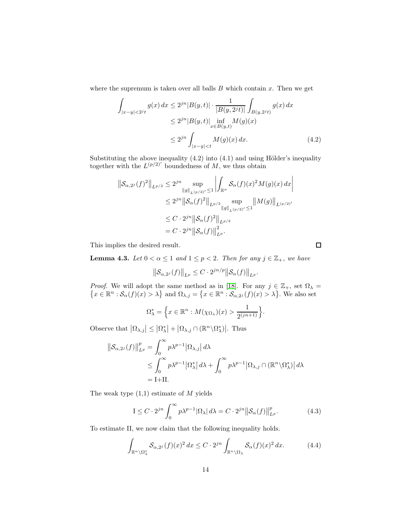where the supremum is taken over all balls  $B$  which contain  $x$ . Then we get

$$
\int_{|x-y|<2^{j}t} g(x) dx \le 2^{jn} |B(y,t)| \cdot \frac{1}{|B(y,2^{j}t)|} \int_{B(y,2^{j}t)} g(x) dx
$$
  
\n
$$
\le 2^{jn} |B(y,t)| \inf_{x \in B(y,t)} M(g)(x)
$$
  
\n
$$
\le 2^{jn} \int_{|x-y|\n(4.2)
$$

Substituting the above inequality  $(4.2)$  into  $(4.1)$  and using Hölder's inequality together with the  $L^{(p/2)'}$  boundedness of M, we thus obtain

$$
\begin{aligned} \left\| \mathcal{S}_{\alpha,2^{j}}(f)^{2} \right\|_{L^{p/2}} &\leq 2^{jn} \sup_{\|g\|_{L^{(p/2)'}} \leq 1} \left| \int_{\mathbb{R}^{n}} \mathcal{S}_{\alpha}(f)(x)^{2} M(g)(x) \, dx \right| \\ &\leq 2^{jn} \left\| \mathcal{S}_{\alpha}(f)^{2} \right\|_{L^{p/2}} \sup_{\|g\|_{L^{(p/2)'}} \leq 1} \left\| M(g) \right\|_{L^{(p/2)'}} \\ &\leq C \cdot 2^{jn} \left\| \mathcal{S}_{\alpha}(f)^{2} \right\|_{L^{p/2}} \\ &= C \cdot 2^{jn} \left\| \mathcal{S}_{\alpha}(f) \right\|_{L^{p}}^{2} .\end{aligned}
$$

This implies the desired result.

**Lemma 4.3.** Let  $0 < \alpha \leq 1$  and  $1 \leq p < 2$ . Then for any  $j \in \mathbb{Z}_+$ , we have

$$
\left\|\mathcal{S}_{\alpha,2^{j}}(f)\right\|_{L^{p}}\leq C\cdot2^{jn/p}\left\|\mathcal{S}_{\alpha}(f)\right\|_{L^{p}}.
$$

Proof. ∤ We will adopt the same method as in [\[18\]](#page-22-15). For any  $j \in \mathbb{Z}_+$ , set  $\Omega_{\lambda} =$  $x \in \mathbb{R}^n : \mathcal{S}_{\alpha}(f)(x) > \lambda$  and  $\Omega_{\lambda,j} = \{x \in \mathbb{R}^n : \mathcal{S}_{\alpha,2^j}(f)(x) > \lambda\}$ . We also set

$$
\Omega_{\lambda}^* = \left\{ x \in \mathbb{R}^n : M(\chi_{\Omega_{\lambda}})(x) > \frac{1}{2^{(jn+1)}} \right\}.
$$

Observe that  $|\Omega_{\lambda,j}| \leq |\Omega_{\lambda}^*| + |\Omega_{\lambda,j} \cap (\mathbb{R}^n \setminus \Omega_{\lambda}^*)|$ . Thus

$$
\|\mathcal{S}_{\alpha,2^{j}}(f)\|_{L^{p}}^{p} = \int_{0}^{\infty} p\lambda^{p-1} |\Omega_{\lambda,j}| d\lambda
$$
  
\n
$$
\leq \int_{0}^{\infty} p\lambda^{p-1} |\Omega_{\lambda}^{*}| d\lambda + \int_{0}^{\infty} p\lambda^{p-1} |\Omega_{\lambda,j} \cap (\mathbb{R}^{n} \setminus \Omega_{\lambda}^{*})| d\lambda
$$
  
\n= I+II.

The weak type  $(1,1)$  estimate of M yields

$$
I \leq C \cdot 2^{jn} \int_0^\infty p\lambda^{p-1} |\Omega_\lambda| \, d\lambda = C \cdot 2^{jn} \left\| \mathcal{S}_\alpha(f) \right\|_{L^p}^p. \tag{4.3}
$$

To estimate II, we now claim that the following inequality holds.

$$
\int_{\mathbb{R}^n \setminus \Omega^*_{\lambda}} \mathcal{S}_{\alpha,2^j}(f)(x)^2 dx \le C \cdot 2^{jn} \int_{\mathbb{R}^n \setminus \Omega_{\lambda}} \mathcal{S}_{\alpha}(f)(x)^2 dx. \tag{4.4}
$$

 $\Box$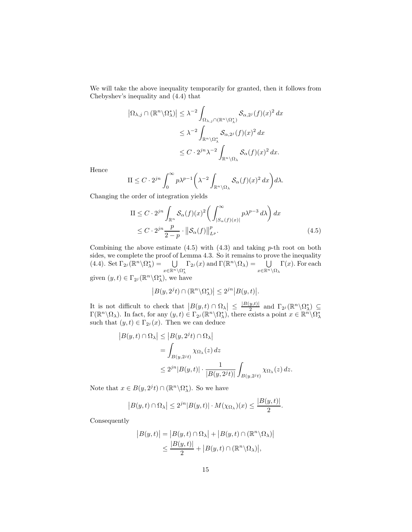We will take the above inequality temporarily for granted, then it follows from Chebyshev's inequality and (4.4) that

$$
\left| \Omega_{\lambda,j} \cap (\mathbb{R}^n \setminus \Omega_{\lambda}^*) \right| \leq \lambda^{-2} \int_{\Omega_{\lambda,j} \cap (\mathbb{R}^n \setminus \Omega_{\lambda}^*)} \mathcal{S}_{\alpha,2^j}(f)(x)^2 dx
$$
  

$$
\leq \lambda^{-2} \int_{\mathbb{R}^n \setminus \Omega_{\lambda}^*} \mathcal{S}_{\alpha,2^j}(f)(x)^2 dx
$$
  

$$
\leq C \cdot 2^{jn} \lambda^{-2} \int_{\mathbb{R}^n \setminus \Omega_{\lambda}} \mathcal{S}_{\alpha}(f)(x)^2 dx.
$$

Hence

$$
\mathcal{II} \leq C \cdot 2^{jn} \int_0^\infty p\lambda^{p-1} \bigg(\lambda^{-2} \int_{\mathbb{R}^n \setminus \Omega_\lambda} \mathcal{S}_\alpha(f)(x)^2 dx\bigg) d\lambda.
$$

Changing the order of integration yields

$$
\begin{split} \text{II} &\leq C \cdot 2^{jn} \int_{\mathbb{R}^n} \mathcal{S}_{\alpha}(f)(x)^2 \bigg( \int_{|S_{\alpha}(f)(x)|}^{\infty} p \lambda^{p-3} \, d\lambda \bigg) \, dx \\ &\leq C \cdot 2^{jn} \frac{p}{2-p} \cdot \big\| \mathcal{S}_{\alpha}(f) \big\|_{L^p}^p. \end{split} \tag{4.5}
$$

Combining the above estimate  $(4.5)$  with  $(4.3)$  and taking p-th root on both sides, we complete the proof of Lemma 4.3. So it remains to prove the inequality (4.4). Set  $\Gamma_{2^j}(\mathbb{R}^n \setminus \Omega_{\lambda}^*) = \bigcup_{\mathbb{R}^n}$ x∈Rn\Ω<sup>∗</sup> λ  $\Gamma_{2^j}(x)$  and  $\Gamma(\mathbb{R}^n \setminus \Omega_\lambda) = \bigcup_{x \in \mathbb{R}^n \setminus \Omega_\lambda}$  $\Gamma(x)$ . For each given  $(y, t) \in \Gamma_{2^j}(\mathbb{R}^n \backslash \Omega_{\lambda}^*)$ , we have

$$
|B(y, 2^{j}t) \cap (\mathbb{R}^n \backslash \Omega_{\lambda}^*)| \leq 2^{jn} |B(y, t)|.
$$

It is not difficult to check that  $|B(y,t) \cap \Omega_{\lambda}| \leq \frac{|B(y,t)|}{2}$  $\frac{y,t)}{2}$  and  $\Gamma_{2^j}(\mathbb{R}^n\backslash\Omega^*_{\lambda}) \subseteq$  $\Gamma(\mathbb{R}^n\setminus\Omega_\lambda)$ . In fact, for any  $(y, t) \in \Gamma_{2^j}(\mathbb{R}^n\setminus\Omega_\lambda^*)$ , there exists a point  $x \in \mathbb{R}^n\setminus\Omega_\lambda^*$ such that  $(y, t) \in \Gamma_{2^{j}}(x)$ . Then we can deduce

$$
|B(y,t) \cap \Omega_{\lambda}| \le |B(y, 2^{j}t) \cap \Omega_{\lambda}|
$$
  
= 
$$
\int_{B(y, 2^{j}t)} \chi_{\Omega_{\lambda}}(z) dz
$$
  

$$
\le 2^{jn} |B(y,t)| \cdot \frac{1}{|B(y, 2^{j}t)|} \int_{B(y, 2^{j}t)} \chi_{\Omega_{\lambda}}(z) dz.
$$

Note that  $x \in B(y, 2^{j}t) \cap (\mathbb{R}^{n}\backslash\Omega_{\lambda}^{*})$ . So we have

$$
|B(y,t)\cap\Omega_\lambda|\leq 2^{jn}|B(y,t)|\cdot M(\chi_{\Omega_\lambda})(x)\leq \frac{|B(y,t)|}{2}.
$$

Consequently

$$
|B(y,t)| = |B(y,t) \cap \Omega_{\lambda}| + |B(y,t) \cap (\mathbb{R}^n \setminus \Omega_{\lambda})|
$$
  

$$
\leq \frac{|B(y,t)|}{2} + |B(y,t) \cap (\mathbb{R}^n \setminus \Omega_{\lambda})|,
$$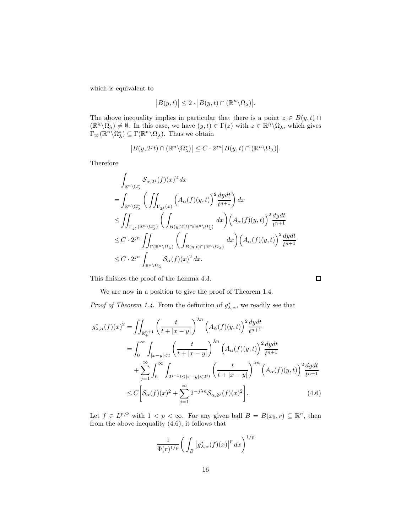which is equivalent to

$$
|B(y,t)| \leq 2 \cdot |B(y,t) \cap (\mathbb{R}^n \backslash \Omega_\lambda)|.
$$

The above inequality implies in particular that there is a point  $z \in B(y, t)$  $(\mathbb{R}^n \setminus \Omega_\lambda) \neq \emptyset$ . In this case, we have  $(y, t) \in \Gamma(z)$  with  $z \in \mathbb{R}^n \setminus \Omega_\lambda$ , which gives  $\Gamma_{2^j}(\mathbb{R}^n \setminus \Omega_{\lambda}^*) \subseteq \Gamma(\mathbb{R}^n \setminus \Omega_{\lambda})$ . Thus we obtain

$$
|B(y, 2^{j}t) \cap (\mathbb{R}^n \backslash \Omega_{\lambda}^*)| \leq C \cdot 2^{jn} |B(y, t) \cap (\mathbb{R}^n \backslash \Omega_{\lambda})|.
$$

Therefore

$$
\int_{\mathbb{R}^n \setminus \Omega_{\lambda}^*} \mathcal{S}_{\alpha,2^j}(f)(x)^2 dx
$$
\n
$$
= \int_{\mathbb{R}^n \setminus \Omega_{\lambda}^*} \left( \iint_{\Gamma_{2^j}(x)} \left( A_{\alpha}(f)(y,t) \right)^2 \frac{dydt}{t^{n+1}} \right) dx
$$
\n
$$
\leq \iint_{\Gamma_{2^j}(\mathbb{R}^n \setminus \Omega_{\lambda}^*)} \left( \int_{B(y,2^jt) \cap (\mathbb{R}^n \setminus \Omega_{\lambda}^*)} dx \right) \left( A_{\alpha}(f)(y,t) \right)^2 \frac{dydt}{t^{n+1}}
$$
\n
$$
\leq C \cdot 2^{jn} \iint_{\Gamma(\mathbb{R}^n \setminus \Omega_{\lambda})} \left( \int_{B(y,t) \cap (\mathbb{R}^n \setminus \Omega_{\lambda})} dx \right) \left( A_{\alpha}(f)(y,t) \right)^2 \frac{dydt}{t^{n+1}}
$$
\n
$$
\leq C \cdot 2^{jn} \int_{\mathbb{R}^n \setminus \Omega_{\lambda}} \mathcal{S}_{\alpha}(f)(x)^2 dx.
$$

 $\Box$ 

This finishes the proof of the Lemma 4.3.

We are now in a position to give the proof of Theorem 1.4.

*Proof of Theorem 1.4.* From the definition of  $g^*_{\lambda,\alpha}$ , we readily see that

$$
g_{\lambda,\alpha}^{*}(f)(x)^{2} = \iint_{\mathbb{R}_{+}^{n+1}} \left( \frac{t}{t + |x - y|} \right)^{\lambda n} \left( A_{\alpha}(f)(y,t) \right)^{2} \frac{dydt}{t^{n+1}}
$$
  
\n
$$
= \int_{0}^{\infty} \int_{|x-y| < t} \left( \frac{t}{t + |x - y|} \right)^{\lambda n} \left( A_{\alpha}(f)(y,t) \right)^{2} \frac{dydt}{t^{n+1}}
$$
  
\n
$$
+ \sum_{j=1}^{\infty} \int_{0}^{\infty} \int_{2^{j-1}t \leq |x-y| < 2^{j}t} \left( \frac{t}{t + |x - y|} \right)^{\lambda n} \left( A_{\alpha}(f)(y,t) \right)^{2} \frac{dydt}{t^{n+1}}
$$
  
\n
$$
\leq C \left[ \mathcal{S}_{\alpha}(f)(x)^{2} + \sum_{j=1}^{\infty} 2^{-j\lambda n} \mathcal{S}_{\alpha,2^{j}}(f)(x)^{2} \right]. \tag{4.6}
$$

Let  $f \in L^{p,\Phi}$  with  $1 < p < \infty$ . For any given ball  $B = B(x_0, r) \subseteq \mathbb{R}^n$ , then from the above inequality (4.6), it follows that

$$
\frac{1}{\Phi(r)^{1/p}} \bigg( \int_B \big| g^*_{\lambda,\alpha}(f)(x) \big|^p \, dx \bigg)^{1/p}
$$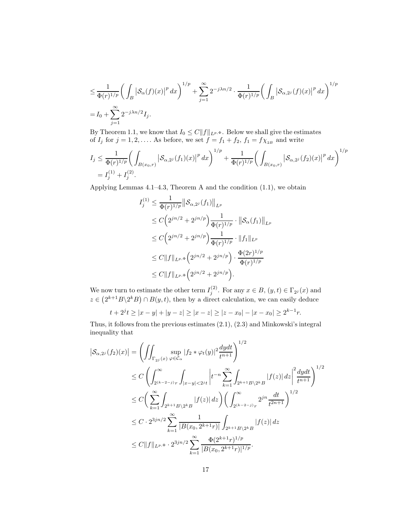$$
\leq \frac{1}{\Phi(r)^{1/p}} \bigg( \int_B \left| \mathcal{S}_{\alpha}(f)(x) \right|^p dx \bigg)^{1/p} + \sum_{j=1}^{\infty} 2^{-j\lambda n/2} \cdot \frac{1}{\Phi(r)^{1/p}} \bigg( \int_B \left| \mathcal{S}_{\alpha,2^j}(f)(x) \right|^p dx \bigg)^{1/p}
$$
  
=  $I_0 + \sum_{j=1}^{\infty} 2^{-j\lambda n/2} I_j.$ 

By Theorem 1.1, we know that  $I_0 \leq C ||f||_{L^{p,\Phi}}$ . Below we shall give the estimates of  $I_j$  for  $j = 1, 2, \ldots$ . As before, we set  $f = f_1 + f_2$ ,  $f_1 = f \chi_{2B}$  and write

$$
I_j \leq \frac{1}{\Phi(r)^{1/p}} \bigg( \int_{B(x_0,r)} \left| S_{\alpha,2^j}(f_1)(x) \right|^p dx \bigg)^{1/p} + \frac{1}{\Phi(r)^{1/p}} \bigg( \int_{B(x_0,r)} \left| S_{\alpha,2^j}(f_2)(x) \right|^p dx \bigg)^{1/p}
$$
  
=  $I_j^{(1)} + I_j^{(2)}$ .

Applying Lemmas  $4.1-4.3$ , Theorem A and the condition  $(1.1)$ , we obtain

$$
I_j^{(1)} \leq \frac{1}{\Phi(r)^{1/p}} \|\mathcal{S}_{\alpha,2^j}(f_1)\|_{L^p}
$$
  
\n
$$
\leq C \Big(2^{jn/2} + 2^{jn/p}\Big) \frac{1}{\Phi(r)^{1/p}} \cdot \|\mathcal{S}_{\alpha}(f_1)\|_{L^p}
$$
  
\n
$$
\leq C \Big(2^{jn/2} + 2^{jn/p}\Big) \frac{1}{\Phi(r)^{1/p}} \cdot \|f_1\|_{L^p}
$$
  
\n
$$
\leq C \|f\|_{L^{p,\Phi}} \Big(2^{jn/2} + 2^{jn/p}\Big) \cdot \frac{\Phi(2r)^{1/p}}{\Phi(r)^{1/p}}
$$
  
\n
$$
\leq C \|f\|_{L^{p,\Phi}} \Big(2^{jn/2} + 2^{jn/p}\Big).
$$

We now turn to estimate the other term  $I_j^{(2)}$ . For any  $x \in B$ ,  $(y, t) \in \Gamma_{2^j}(x)$  and  $z \in (2^{k+1}B\backslash 2^kB) \cap B(y,t)$ , then by a direct calculation, we can easily deduce

$$
t + 2^{j}t \ge |x - y| + |y - z| \ge |x - z| \ge |z - x_0| - |x - x_0| \ge 2^{k-1}r.
$$

Thus, it follows from the previous estimates (2.1), (2.3) and Minkowski's integral inequality that

$$
\begin{split}\n\left|\mathcal{S}_{\alpha,2^{j}}(f_{2})(x)\right| &= \left(\iint_{\Gamma_{2^{j}}(x)} \sup_{\varphi \in \mathcal{C}_{\alpha}} |f_{2} * \varphi_{t}(y)|^{2} \frac{dydt}{t^{n+1}}\right)^{1/2} \\
&\leq C \left(\int_{2^{(k-2-j)}r}^{\infty} \int_{|x-y| < 2^{j}t} \left|t^{-n} \sum_{k=1}^{\infty} \int_{2^{k+1}B\setminus 2^{k}B} |f(z)| \, dz\right|^{2} \frac{dydt}{t^{n+1}}\right)^{1/2} \\
&\leq C \left(\sum_{k=1}^{\infty} \int_{2^{k+1}B\setminus 2^{k}B} |f(z)| \, dz\right) \left(\int_{2^{(k-2-j)}r}^{\infty} 2^{jn} \frac{dt}{t^{2n+1}}\right)^{1/2} \\
&\leq C \cdot 2^{3jn/2} \sum_{k=1}^{\infty} \frac{1}{|B(x_{0}, 2^{k+1}r)|} \int_{2^{k+1}B\setminus 2^{k}B} |f(z)| \, dz \\
&\leq C \|f\|_{L^{p,\Phi}} \cdot 2^{3jn/2} \sum_{k=1}^{\infty} \frac{\Phi(2^{k+1}r)^{1/p}}{|B(x_{0}, 2^{k+1}r)|^{1/p}}.\n\end{split}
$$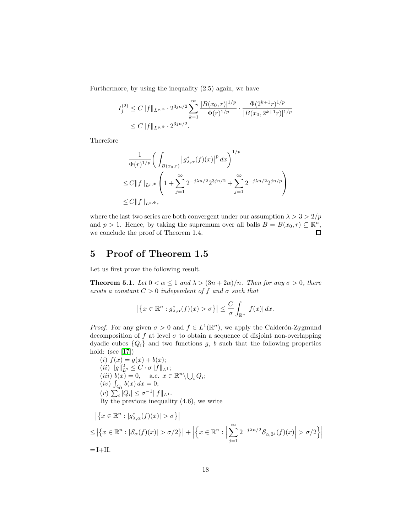Furthermore, by using the inequality (2.5) again, we have

$$
I_j^{(2)} \le C \|f\|_{L^{p,\Phi}} \cdot 2^{3jn/2} \sum_{k=1}^{\infty} \frac{|B(x_0, r)|^{1/p}}{\Phi(r)^{1/p}} \cdot \frac{\Phi(2^{k+1}r)^{1/p}}{|B(x_0, 2^{k+1}r)|^{1/p}} \le C \|f\|_{L^{p,\Phi}} \cdot 2^{3jn/2}.
$$

Therefore

$$
\frac{1}{\Phi(r)^{1/p}} \bigg( \int_{B(x_0,r)} |g^*_{\lambda,\alpha}(f)(x)|^p dx \bigg)^{1/p}
$$
  
\n
$$
\leq C \|f\|_{L^{p,\Phi}} \left( 1 + \sum_{j=1}^{\infty} 2^{-j\lambda n/2} 2^{3jn/2} + \sum_{j=1}^{\infty} 2^{-j\lambda n/2} 2^{jn/p} \right)
$$
  
\n
$$
\leq C \|f\|_{L^{p,\Phi}},
$$

where the last two series are both convergent under our assumption  $\lambda > 3 > 2/p$ and  $p > 1$ . Hence, by taking the supremum over all balls  $B = B(x_0, r) \subseteq \mathbb{R}^n$ , we conclude the proof of Theorem 1.4.

### 5 Proof of Theorem 1.5

Let us first prove the following result.

**Theorem 5.1.** Let  $0 < \alpha \leq 1$  and  $\lambda > (3n + 2\alpha)/n$ . Then for any  $\sigma > 0$ , there exists a constant  $C > 0$  independent of f and  $\sigma$  such that

$$
\left|\left\{x \in \mathbb{R}^n : g^*_{\lambda,\alpha}(f)(x) > \sigma\right\}\right| \leq \frac{C}{\sigma} \int_{\mathbb{R}^n} |f(x)| dx.
$$

*Proof.* For any given  $\sigma > 0$  and  $f \in L^1(\mathbb{R}^n)$ , we apply the Calderón-Zygmund decomposition of f at level  $\sigma$  to obtain a sequence of disjoint non-overlapping dyadic cubes  $\{Q_i\}$  and two functions g, b such that the following properties hold: (see [\[17\]](#page-22-0))

(i)  $f(x) = g(x) + b(x);$  $(ii) \|g\|_{L^2}^2 \leq C \cdot \sigma \|f\|_{L^1};$ (*iii*)  $b(x) = 0$ , a.e.  $x \in \mathbb{R}^n \setminus \bigcup_i Q_i$ ; (*iv*)  $\int_{Q_i} b(x) dx = 0;$ (v)  $\sum_i |Q_i| \leq \sigma^{-1} ||f||_{L^1}.$ By the previous inequality (4.6), we write

$$
\left| \left\{ x \in \mathbb{R}^n : |g_{\lambda,\alpha}^*(f)(x)| > \sigma \right\} \right|
$$
  
\n
$$
\leq \left| \left\{ x \in \mathbb{R}^n : |\mathcal{S}_{\alpha}(f)(x)| > \sigma/2 \right\} \right| + \left| \left\{ x \in \mathbb{R}^n : \left| \sum_{j=1}^{\infty} 2^{-j\lambda n/2} \mathcal{S}_{\alpha,2^j}(f)(x) \right| > \sigma/2 \right\} \right|
$$
  
\n= I+II.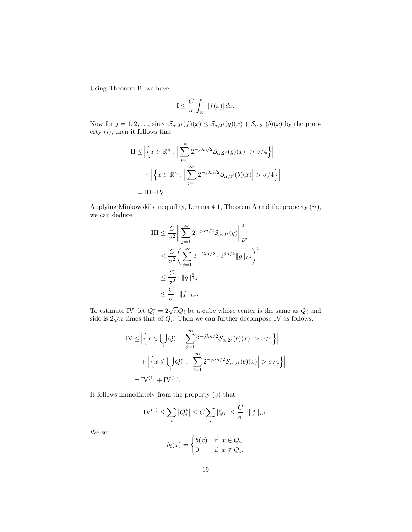Using Theorem B, we have

$$
I \leq \frac{C}{\sigma} \int_{\mathbb{R}^n} |f(x)| dx.
$$

Now for  $j = 1, 2, \ldots$ , since  $\mathcal{S}_{\alpha,2^{j}}(f)(x) \leq \mathcal{S}_{\alpha,2^{j}}(g)(x) + \mathcal{S}_{\alpha,2^{j}}(b)(x)$  by the property  $(i)$ , then it follows that

II 
$$
\leq |\left\{ x \in \mathbb{R}^n : \left| \sum_{j=1}^{\infty} 2^{-j\lambda n/2} \mathcal{S}_{\alpha,2^j}(g)(x) \right| > \sigma/4 \right\}|
$$
  
+  $\left| \left\{ x \in \mathbb{R}^n : \left| \sum_{j=1}^{\infty} 2^{-j\lambda n/2} \mathcal{S}_{\alpha,2^j}(b)(x) \right| > \sigma/4 \right\} \right|$   
= III+IV.

Applying Minkowski's inequality, Lemma 4.1, Theorem A and the property  $(ii)$ , we can deduce

$$
\begin{split} \text{III} &\leq \frac{C}{\sigma^2} \bigg\| \sum_{j=1}^{\infty} 2^{-j\lambda n/2} \mathcal{S}_{\alpha,2^j}(g) \bigg\|_{L^2}^2 \\ &\leq \frac{C}{\sigma^2} \bigg( \sum_{j=1}^{\infty} 2^{-j\lambda n/2} \cdot 2^{jn/2} \|g\|_{L^2} \bigg)^2 \\ &\leq \frac{C}{\sigma^2} \cdot \|g\|_{L^2}^2 \\ &\leq \frac{C}{\sigma} \cdot \|f\|_{L^1} .\end{split}
$$

To estimate IV, let  $Q_i^* = 2\sqrt{n}Q_i$  be a cube whose center is the same as  $Q_i$  and side is  $2\sqrt{n}$  times that of  $Q_i$ . Then we can further decompose IV as follows.

IV 
$$
\leq \left| \left\{ x \in \bigcup_{i} Q_{i}^{*} : \left| \sum_{j=1}^{\infty} 2^{-j\lambda n/2} \mathcal{S}_{\alpha,2^{j}}(b)(x) \right| > \sigma/4 \right\} \right|
$$
  
+  $\left| \left\{ x \notin \bigcup_{i} Q_{i}^{*} : \left| \sum_{j=1}^{\infty} 2^{-j\lambda n/2} \mathcal{S}_{\alpha,2^{j}}(b)(x) \right| > \sigma/4 \right\} \right|$   
= IV<sup>(1)</sup> + IV<sup>(2)</sup>.

It follows immediately from the property  $(v)$  that

$$
IV^{(1)} \le \sum_{i} |Q_i^*| \le C \sum_{i} |Q_i| \le \frac{C}{\sigma} \cdot ||f||_{L^1}.
$$

We set

$$
b_i(x) = \begin{cases} b(x) & \text{if } x \in Q_i, \\ 0 & \text{if } x \notin Q_i. \end{cases}
$$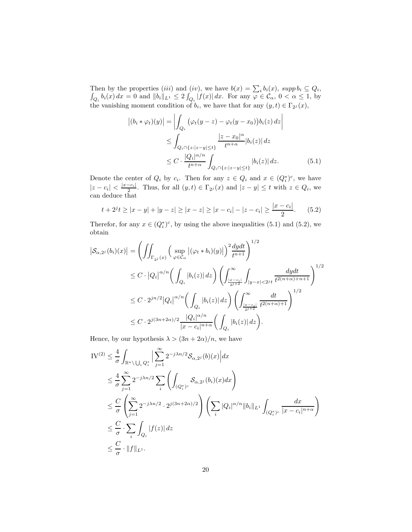Then by the properties (iii) and (iv), we have  $b(x) = \sum_i b_i(x)$ , supp  $b_i \subseteq Q_i$ ,  $\int_{Q_i} b_i(x) dx = 0$  and  $||b_i||_{L^1} \leq 2 \int_{Q_i} |f(x)| dx$ . For any  $\varphi \in C_\alpha$ ,  $0 < \alpha \leq 1$ , by the vanishing moment condition of  $b_i$ , we have that for any  $(y, t) \in \Gamma_{2^j}(x)$ ,

$$
\left| (b_i * \varphi_t)(y) \right| = \left| \int_{Q_i} \left( \varphi_t(y - z) - \varphi_t(y - x_0) \right) b_i(z) \, dz \right|
$$
  
\n
$$
\leq \int_{Q_i \cap \{z : |z - y| \leq t\}} \frac{|z - x_0|^{\alpha}}{t^{n + \alpha}} |b_i(z)| \, dz
$$
  
\n
$$
\leq C \cdot \frac{|Q_i|^{\alpha/n}}{t^{n + \alpha}} \int_{Q_i \cap \{z : |z - y| \leq t\}} |b_i(z)| \, dz. \tag{5.1}
$$

Denote the center of  $Q_i$  by  $c_i$ . Then for any  $z \in Q_i$  and  $x \in (Q_i^*)^c$ , we have  $|z - c_i| < \frac{|x - c_i|}{2}$ . Thus, for all  $(y, t) \in \Gamma_{2^j}(x)$  and  $|z - y| \le t$  with  $z \in Q_i$ , we can deduce that

$$
t + 2^{j}t \ge |x - y| + |y - z| \ge |x - z| \ge |x - c_{i}| - |z - c_{i}| \ge \frac{|x - c_{i}|}{2}.
$$
 (5.2)

Therefor, for any  $x \in (Q_i^*)^c$ , by using the above inequalities (5.1) and (5.2), we obtain

$$
\begin{split} \left|\mathcal{S}_{\alpha,2^{j}}(b_{i})(x)\right|&=\left(\iint_{\Gamma_{2^{j}}(x)}\Big(\sup_{\varphi\in\mathcal{C}_{\alpha}}\big|\big(\varphi_{t}\ast b_{i}\big)(y)\big|\Big)^{2}\frac{dydt}{t^{n+1}}\right)^{1/2}\\ &\leq C\cdot\big|Q_{i}\big|^{\alpha/n}\bigg(\int_{Q_{i}}|b_{i}(z)|\,dz\bigg)\left(\int_{\frac{|x-c_{i}|}{2^{j+2}}}^{\infty}\int_{|y-x|<2^{j}t}\frac{dydt}{t^{2(n+\alpha)+n+1}}\right)^{1/2}\\ &\leq C\cdot2^{jn/2}\big|Q_{i}\big|^{\alpha/n}\bigg(\int_{Q_{i}}|b_{i}(z)|\,dz\bigg)\left(\int_{\frac{|x-c_{i}|}{2^{j+2}}}^{\infty}\frac{dt}{t^{2(n+\alpha)+1}}\right)^{1/2}\\ &\leq C\cdot2^{j(3n+2\alpha)/2}\frac{|Q_{i}|^{\alpha/n}}{|x-c_{i}|^{n+\alpha}}\bigg(\int_{Q_{i}}|b_{i}(z)|\,dz\bigg). \end{split}
$$

Hence, by our hypothesis  $\lambda > (3n + 2\alpha)/n$ , we have

$$
\begin{split} \mathrm{IV}^{(2)} &\leq \frac{4}{\sigma} \int_{\mathbb{R}^n \setminus \bigcup_i Q_i^*} \Big| \sum_{j=1}^{\infty} 2^{-j\lambda n/2} \mathcal{S}_{\alpha,2^j}(b)(x) \Big| dx \\ &\leq \frac{4}{\sigma} \sum_{j=1}^{\infty} 2^{-j\lambda n/2} \sum_i \left( \int_{(Q_i^*)^c} \mathcal{S}_{\alpha,2^j}(b_i)(x) dx \right) \\ &\leq \frac{C}{\sigma} \left( \sum_{j=1}^{\infty} 2^{-j\lambda n/2} \cdot 2^{j(3n+2\alpha)/2} \right) \left( \sum_i |Q_i|^{\alpha/n} \|b_i\|_{L^1} \int_{(Q_i^*)^c} \frac{dx}{|x - c_i|^{n+\alpha}} \right) \\ &\leq \frac{C}{\sigma} \cdot \sum_i \int_{Q_i} |f(z)| dz \\ &\leq \frac{C}{\sigma} \cdot \|f\|_{L^1}. \end{split}
$$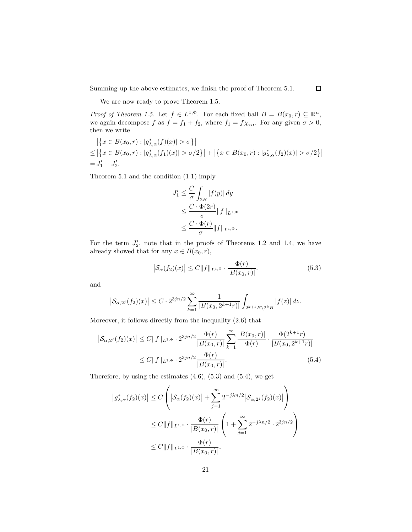Summing up the above estimates, we finish the proof of Theorem 5.1.

 $\Box$ 

We are now ready to prove Theorem 1.5.

Proof of Theorem 1.5. Let  $f \in L^{1,\Phi}$ . For each fixed ball  $B = B(x_0, r) \subseteq \mathbb{R}^n$ , we again decompose f as  $f = f_1 + f_2$ , where  $f_1 = f \chi_{2B}$ . For any given  $\sigma > 0$ , then we write

$$
\left| \{ x \in B(x_0, r) : |g_{\lambda, \alpha}^*(f)(x)| > \sigma \} \right|
$$
  
\n
$$
\leq \left| \{ x \in B(x_0, r) : |g_{\lambda, \alpha}^*(f_1)(x)| > \sigma/2 \} \right| + \left| \{ x \in B(x_0, r) : |g_{\lambda, \alpha}^*(f_2)(x)| > \sigma/2 \} \right|
$$
  
\n
$$
= J'_1 + J'_2.
$$

Theorem 5.1 and the condition (1.1) imply

$$
J'_1 \leq \frac{C}{\sigma} \int_{2B} |f(y)| dy
$$
  
\n
$$
\leq \frac{C \cdot \Phi(2r)}{\sigma} ||f||_{L^{1,\Phi}}
$$
  
\n
$$
\leq \frac{C \cdot \Phi(r)}{\sigma} ||f||_{L^{1,\Phi}}.
$$

For the term  $J'_2$ , note that in the proofs of Theorems 1.2 and 1.4, we have already showed that for any  $x \in B(x_0, r)$ ,

$$
\left| \mathcal{S}_{\alpha}(f_2)(x) \right| \le C \| f \|_{L^{1,\Phi}} \cdot \frac{\Phi(r)}{|B(x_0, r)|}.
$$
 (5.3)

and

$$
\left| \mathcal{S}_{\alpha,2^{j}}(f_{2})(x) \right| \leq C \cdot 2^{3jn/2} \sum_{k=1}^{\infty} \frac{1}{\left| B(x_{0}, 2^{k+1}r) \right|} \int_{2^{k+1}B\setminus 2^{k}B} |f(z)| dz.
$$

Moreover, it follows directly from the inequality (2.6) that

$$
\left| \mathcal{S}_{\alpha,2^{j}}(f_{2})(x) \right| \leq C \|f\|_{L^{1,\Phi}} \cdot 2^{3jn/2} \frac{\Phi(r)}{|B(x_{0},r)|} \sum_{k=1}^{\infty} \frac{|B(x_{0},r)|}{\Phi(r)} \cdot \frac{\Phi(2^{k+1}r)}{|B(x_{0},2^{k+1}r)|} \leq C \|f\|_{L^{1,\Phi}} \cdot 2^{3jn/2} \frac{\Phi(r)}{|B(x_{0},r)|}. \tag{5.4}
$$

Therefore, by using the estimates  $(4.6)$ ,  $(5.3)$  and  $(5.4)$ , we get

$$
\begin{aligned} \left| g_{\lambda,\alpha}^*(f_2)(x) \right| &\le C \left( \left| \mathcal{S}_{\alpha}(f_2)(x) \right| + \sum_{j=1}^{\infty} 2^{-j\lambda n/2} \left| \mathcal{S}_{\alpha,2^j}(f_2)(x) \right| \right) \\ &\le C \| f \|_{L^{1,\Phi}} \cdot \frac{\Phi(r)}{|B(x_0,r)|} \left( 1 + \sum_{j=1}^{\infty} 2^{-j\lambda n/2} \cdot 2^{3jn/2} \right) \\ &\le C \| f \|_{L^{1,\Phi}} \cdot \frac{\Phi(r)}{|B(x_0,r)|}, \end{aligned}
$$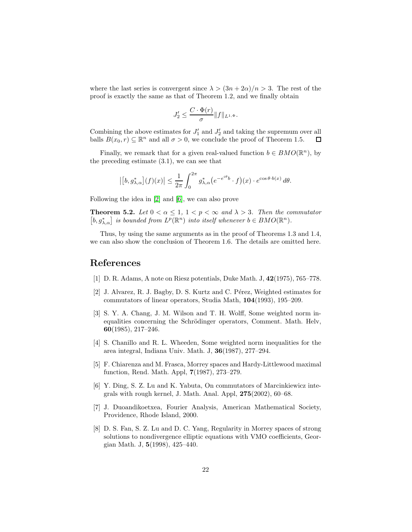where the last series is convergent since  $\lambda > (3n + 2\alpha)/n > 3$ . The rest of the proof is exactly the same as that of Theorem 1.2, and we finally obtain

$$
J_2' \leq \frac{C \cdot \Phi(r)}{\sigma} ||f||_{L^{1,\Phi}}.
$$

Combining the above estimates for  $J'_1$  and  $J'_2$  and taking the supremum over all balls  $B(x_0, r) \subseteq \mathbb{R}^n$  and all  $\sigma > 0$ , we conclude the proof of Theorem 1.5.  $\Box$ 

Finally, we remark that for a given real-valued function  $b \in BMO(\mathbb{R}^n)$ , by the preceding estimate (3.1), we can see that

$$
\left| \left[ b, g^*_{\lambda, \alpha} \right] (f)(x) \right| \leq \frac{1}{2\pi} \int_0^{2\pi} g^*_{\lambda, \alpha} \big( e^{-e^{i\theta} b} \cdot f \big)(x) \cdot e^{\cos \theta \cdot b(x)} \, d\theta.
$$

Following the idea in [\[2\]](#page-21-6) and [\[6\]](#page-21-7), we can also prove

**Theorem 5.2.** Let  $0 < \alpha \leq 1$ ,  $1 < p < \infty$  and  $\lambda > 3$ . Then the commutator  $[b, g_{\lambda,\alpha}^*]$  is bounded from  $L^p(\mathbb{R}^n)$  into itself whenever  $b \in BMO(\mathbb{R}^n)$ .

Thus, by using the same arguments as in the proof of Theorems 1.3 and 1.4, we can also show the conclusion of Theorem 1.6. The details are omitted here.

#### <span id="page-21-2"></span>References

- <span id="page-21-6"></span>[1] D. R. Adams, A note on Riesz potentials, Duke Math. J, 42(1975), 765–778.
- [2] J. Alvarez, R. J. Bagby, D. S. Kurtz and C. Pérez, Weighted estimates for commutators of linear operators, Studia Math, 104(1993), 195–209.
- <span id="page-21-0"></span>[3] S. Y. A. Chang, J. M. Wilson and T. H. Wolff, Some weighted norm inequalities concerning the Schrödinger operators, Comment. Math. Helv, 60(1985), 217–246.
- <span id="page-21-1"></span>[4] S. Chanillo and R. L. Wheeden, Some weighted norm inequalities for the area integral, Indiana Univ. Math. J, 36(1987), 277–294.
- <span id="page-21-3"></span>[5] F. Chiarenza and M. Frasca, Morrey spaces and Hardy-Littlewood maximal function, Rend. Math. Appl, 7(1987), 273–279.
- <span id="page-21-7"></span>[6] Y. Ding, S. Z. Lu and K. Yabuta, On commutators of Marcinkiewicz integrals with rough kernel, J. Math. Anal. Appl,  $275(2002)$ ,  $60-68$ .
- <span id="page-21-5"></span>[7] J. Duoandikoetxea, Fourier Analysis, American Mathematical Society, Providence, Rhode Island, 2000.
- <span id="page-21-4"></span>[8] D. S. Fan, S. Z. Lu and D. C. Yang, Regularity in Morrey spaces of strong solutions to nondivergence elliptic equations with VMO coefficients, Georgian Math. J, 5(1998), 425–440.